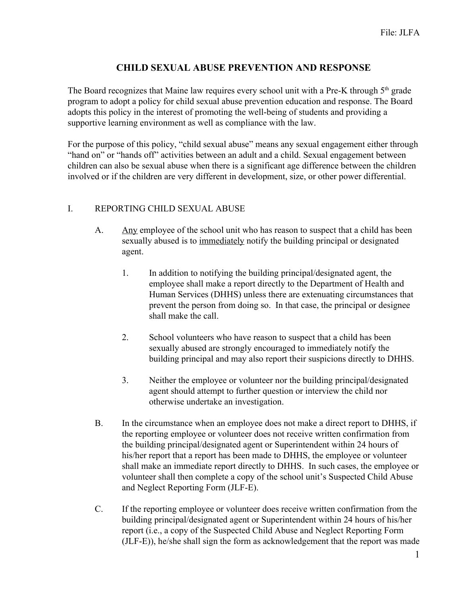## **CHILD SEXUAL ABUSE PREVENTION AND RESPONSE**

The Board recognizes that Maine law requires every school unit with a Pre-K through  $5<sup>th</sup>$  grade program to adopt a policy for child sexual abuse prevention education and response. The Board adopts this policy in the interest of promoting the well-being of students and providing a supportive learning environment as well as compliance with the law.

For the purpose of this policy, "child sexual abuse" means any sexual engagement either through "hand on" or "hands off" activities between an adult and a child. Sexual engagement between children can also be sexual abuse when there is a significant age difference between the children involved or if the children are very different in development, size, or other power differential.

## I. REPORTING CHILD SEXUAL ABUSE

- A. Any employee of the school unit who has reason to suspect that a child has been sexually abused is to immediately notify the building principal or designated agent.
	- 1. In addition to notifying the building principal/designated agent, the employee shall make a report directly to the Department of Health and Human Services (DHHS) unless there are extenuating circumstances that prevent the person from doing so. In that case, the principal or designee shall make the call.
	- 2. School volunteers who have reason to suspect that a child has been sexually abused are strongly encouraged to immediately notify the building principal and may also report their suspicions directly to DHHS.
	- 3. Neither the employee or volunteer nor the building principal/designated agent should attempt to further question or interview the child nor otherwise undertake an investigation.
- B. In the circumstance when an employee does not make a direct report to DHHS, if the reporting employee or volunteer does not receive written confirmation from the building principal/designated agent or Superintendent within 24 hours of his/her report that a report has been made to DHHS, the employee or volunteer shall make an immediate report directly to DHHS. In such cases, the employee or volunteer shall then complete a copy of the school unit's Suspected Child Abuse and Neglect Reporting Form (JLF-E).
- C. If the reporting employee or volunteer does receive written confirmation from the building principal/designated agent or Superintendent within 24 hours of his/her report (i.e., a copy of the Suspected Child Abuse and Neglect Reporting Form (JLF-E)), he/she shall sign the form as acknowledgement that the report was made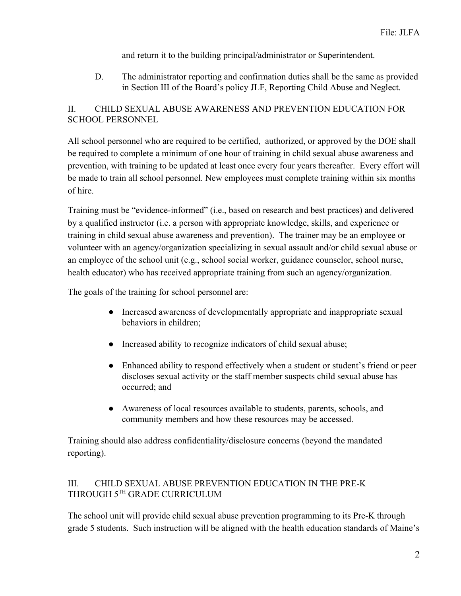and return it to the building principal/administrator or Superintendent.

D. The administrator reporting and confirmation duties shall be the same as provided in Section III of the Board's policy JLF, Reporting Child Abuse and Neglect.

## II. CHILD SEXUAL ABUSE AWARENESS AND PREVENTION EDUCATION FOR SCHOOL PERSONNEL

All school personnel who are required to be certified, authorized, or approved by the DOE shall be required to complete a minimum of one hour of training in child sexual abuse awareness and prevention, with training to be updated at least once every four years thereafter. Every effort will be made to train all school personnel. New employees must complete training within six months of hire.

Training must be "evidence-informed" (i.e., based on research and best practices) and delivered by a qualified instructor (i.e. a person with appropriate knowledge, skills, and experience or training in child sexual abuse awareness and prevention). The trainer may be an employee or volunteer with an agency/organization specializing in sexual assault and/or child sexual abuse or an employee of the school unit (e.g., school social worker, guidance counselor, school nurse, health educator) who has received appropriate training from such an agency/organization.

The goals of the training for school personnel are:

- Increased awareness of developmentally appropriate and inappropriate sexual behaviors in children;
- Increased ability to recognize indicators of child sexual abuse;
- Enhanced ability to respond effectively when a student or student's friend or peer discloses sexual activity or the staff member suspects child sexual abuse has occurred; and
- Awareness of local resources available to students, parents, schools, and community members and how these resources may be accessed.

Training should also address confidentiality/disclosure concerns (beyond the mandated reporting).

## III. CHILD SEXUAL ABUSE PREVENTION EDUCATION IN THE PRE-K THROUGH 5TH GRADE CURRICULUM

The school unit will provide child sexual abuse prevention programming to its Pre-K through grade 5 students. Such instruction will be aligned with the health education standards of Maine's